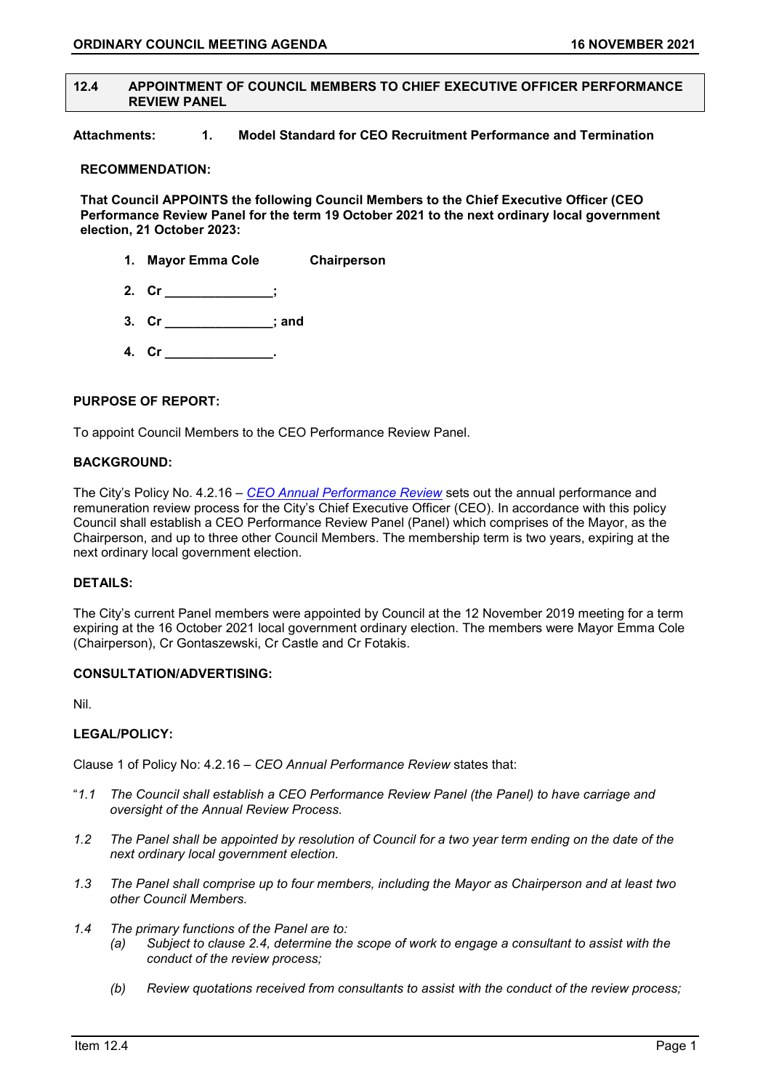## **12.4 APPOINTMENT OF COUNCIL MEMBERS TO CHIEF EXECUTIVE OFFICER PERFORMANCE REVIEW PANEL**

**Attachments: 1. Model Standard for CEO Recruitment Performance and Termination** 

## **RECOMMENDATION:**

**That Council APPOINTS the following Council Members to the Chief Executive Officer (CEO Performance Review Panel for the term 19 October 2021 to the next ordinary local government election, 21 October 2023:**

- **1. Mayor Emma Cole Chairperson**
- **2. Cr \_\_\_\_\_\_\_\_\_\_\_\_\_\_\_;**
- **3. Cr \_\_\_\_\_\_\_\_\_\_\_\_\_\_\_; and**
- **4. Cr \_\_\_\_\_\_\_\_\_\_\_\_\_\_\_.**

## **PURPOSE OF REPORT:**

To appoint Council Members to the CEO Performance Review Panel.

## **BACKGROUND:**

The City's Policy No. 4.2.16 – *[CEO Annual Performance Review](https://www.vincent.wa.gov.au/documents/1285/4216-ceo-annual-performance-review)* sets out the annual performance and remuneration review process for the City's Chief Executive Officer (CEO). In accordance with this policy Council shall establish a CEO Performance Review Panel (Panel) which comprises of the Mayor, as the Chairperson, and up to three other Council Members. The membership term is two years, expiring at the next ordinary local government election.

# **DETAILS:**

The City's current Panel members were appointed by Council at the 12 November 2019 meeting for a term expiring at the 16 October 2021 local government ordinary election. The members were Mayor Emma Cole (Chairperson), Cr Gontaszewski, Cr Castle and Cr Fotakis.

## **CONSULTATION/ADVERTISING:**

Nil.

# **LEGAL/POLICY:**

Clause 1 of Policy No: 4.2.16 *– CEO Annual Performance Review* states that:

- "*1.1 The Council shall establish a CEO Performance Review Panel (the Panel) to have carriage and oversight of the Annual Review Process.*
- *1.2 The Panel shall be appointed by resolution of Council for a two year term ending on the date of the next ordinary local government election.*
- *1.3 The Panel shall comprise up to four members, including the Mayor as Chairperson and at least two other Council Members.*
- *1.4 The primary functions of the Panel are to:*
	- *(a) Subject to clause 2.4, determine the scope of work to engage a consultant to assist with the conduct of the review process;*
	- *(b) Review quotations received from consultants to assist with the conduct of the review process;*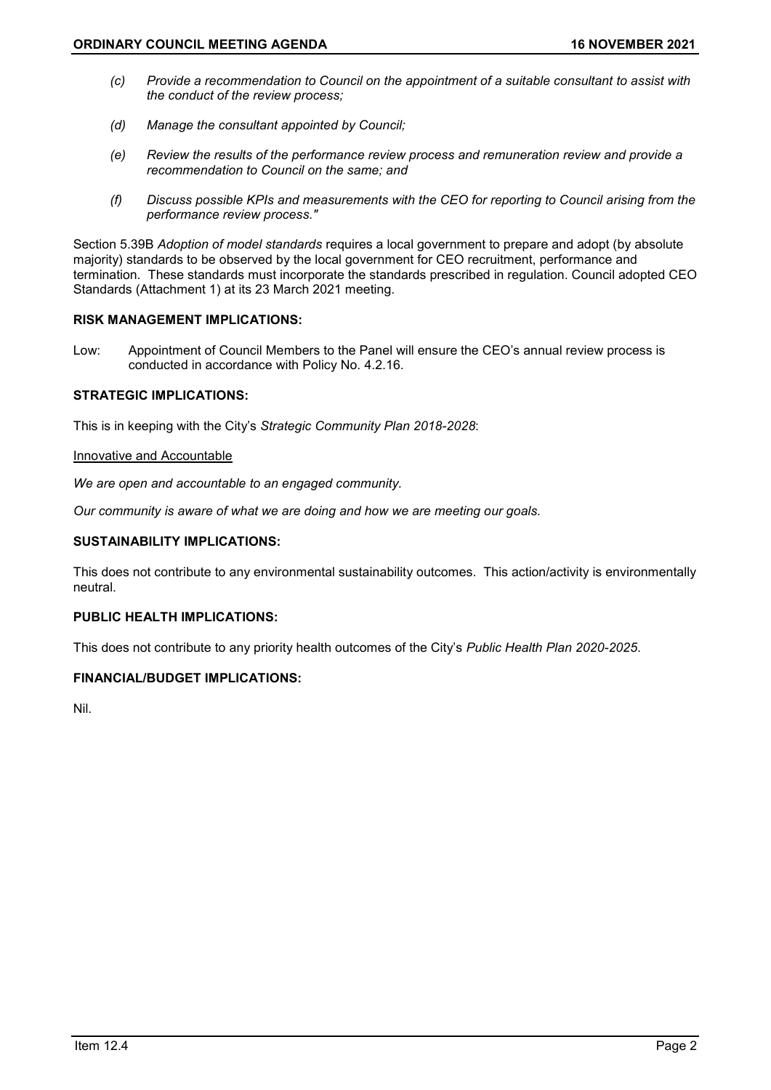- *(c) Provide a recommendation to Council on the appointment of a suitable consultant to assist with the conduct of the review process;*
- *(d) Manage the consultant appointed by Council;*
- *(e) Review the results of the performance review process and remuneration review and provide a recommendation to Council on the same; and*
- *(f) Discuss possible KPIs and measurements with the CEO for reporting to Council arising from the performance review process."*

Section 5.39B *Adoption of model standards* requires a local government to prepare and adopt (by absolute majority) standards to be observed by the local government for CEO recruitment, performance and termination. These standards must incorporate the standards prescribed in regulation. Council adopted CEO Standards (Attachment 1) at its 23 March 2021 meeting.

# **RISK MANAGEMENT IMPLICATIONS:**

Low: Appointment of Council Members to the Panel will ensure the CEO's annual review process is conducted in accordance with Policy No. 4.2.16.

# **STRATEGIC IMPLICATIONS:**

This is in keeping with the City's *Strategic Community Plan 2018-2028*:

## Innovative and Accountable

*We are open and accountable to an engaged community.*

*Our community is aware of what we are doing and how we are meeting our goals.*

## **SUSTAINABILITY IMPLICATIONS:**

This does not contribute to any environmental sustainability outcomes. This action/activity is environmentally neutral.

## **PUBLIC HEALTH IMPLICATIONS:**

This does not contribute to any priority health outcomes of the City's *Public Health Plan 2020-2025*.

## **FINANCIAL/BUDGET IMPLICATIONS:**

Nil.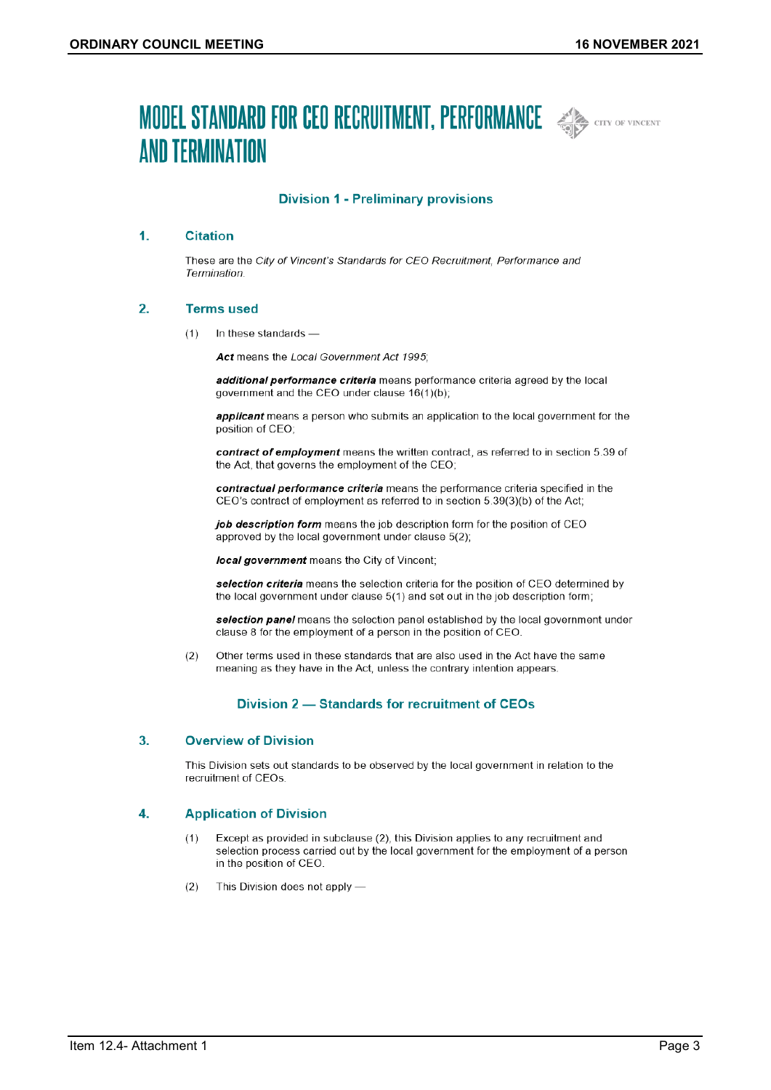# **MODEL STANDARD FOR CEO RECRUITMENT, PERFORMANCE AND CITY OF VINCENT AND TERMINATION**



## **Division 1 - Preliminary provisions**

#### $\mathbf{1}$ **Citation**

These are the City of Vincent's Standards for CEO Recruitment, Performance and Termination.

#### $2.$ **Terms used**

 $(1)$ In these standards -

Act means the Local Government Act 1995:

additional performance criteria means performance criteria agreed by the local government and the CEO under clause 16(1)(b);

applicant means a person who submits an application to the local government for the position of CEO;

contract of employment means the written contract, as referred to in section 5.39 of the Act, that governs the employment of the CEO;

contractual performance criteria means the performance criteria specified in the CEO's contract of employment as referred to in section 5.39(3)(b) of the Act;

job description form means the job description form for the position of CEO approved by the local government under clause 5(2);

local government means the City of Vincent;

selection criteria means the selection criteria for the position of CEO determined by the local government under clause 5(1) and set out in the job description form;

selection panel means the selection panel established by the local government under clause 8 for the employment of a person in the position of CEO.

 $(2)$ Other terms used in these standards that are also used in the Act have the same meaning as they have in the Act, unless the contrary intention appears.

## Division 2 - Standards for recruitment of CEOs

#### **Overview of Division** 3.

This Division sets out standards to be observed by the local government in relation to the recruitment of CEOs.

#### 4. **Application of Division**

- $(1)$ Except as provided in subclause (2), this Division applies to any recruitment and selection process carried out by the local government for the employment of a person in the position of CEO.
- $(2)$ This Division does not apply -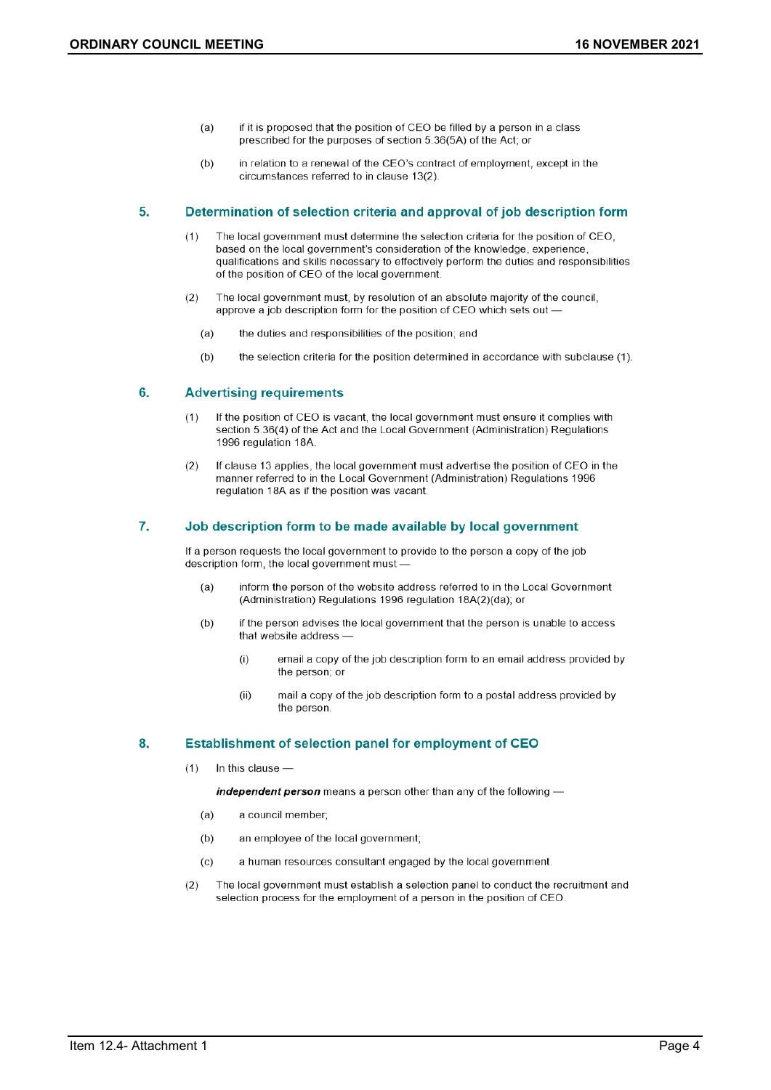- if it is proposed that the position of CEO be filled by a person in a class  $(a)$ prescribed for the purposes of section 5.36(5A) of the Act; or
- in relation to a renewal of the CEO's contract of employment, except in the  $(b)$ circumstances referred to in clause 13(2).

#### 5. Determination of selection criteria and approval of job description form

- The local government must determine the selection criteria for the position of CEO.  $(1)$ based on the local government's consideration of the knowledge, experience, qualifications and skills necessary to effectively perform the duties and responsibilities of the position of CEO of the local government.
- $(2)$ The local government must, by resolution of an absolute majority of the council, approve a job description form for the position of CEO which sets out -
	- $(a)$ the duties and responsibilities of the position; and
	- $(b)$ the selection criteria for the position determined in accordance with subclause (1).

#### 6. **Advertising requirements**

- If the position of CEO is vacant, the local government must ensure it complies with  $(1)$ section 5.36(4) of the Act and the Local Government (Administration) Regulations 1996 regulation 18A
- $(2)$ If clause 13 applies, the local government must advertise the position of CEO in the manner referred to in the Local Government (Administration) Regulations 1996 regulation 18A as if the position was vacant.

#### 7. Job description form to be made available by local government

If a person requests the local government to provide to the person a copy of the job description form, the local government must

- inform the person of the website address referred to in the Local Government  $(a)$ (Administration) Regulations 1996 regulation 18A(2)(da); or
- if the person advises the local government that the person is unable to access  $(b)$ that website address
	- $(i)$ email a copy of the job description form to an email address provided by the person; or
	- $(ii)$ mail a copy of the job description form to a postal address provided by the person.

#### 8. Establishment of selection panel for employment of CEO

In this clause - $(1)$ 

independent person means a person other than any of the following -

- a council member;  $(a)$
- $(b)$ an employee of the local government;
- a human resources consultant engaged by the local government.  $(c)$
- The local government must establish a selection panel to conduct the recruitment and  $(2)$ selection process for the employment of a person in the position of CEO.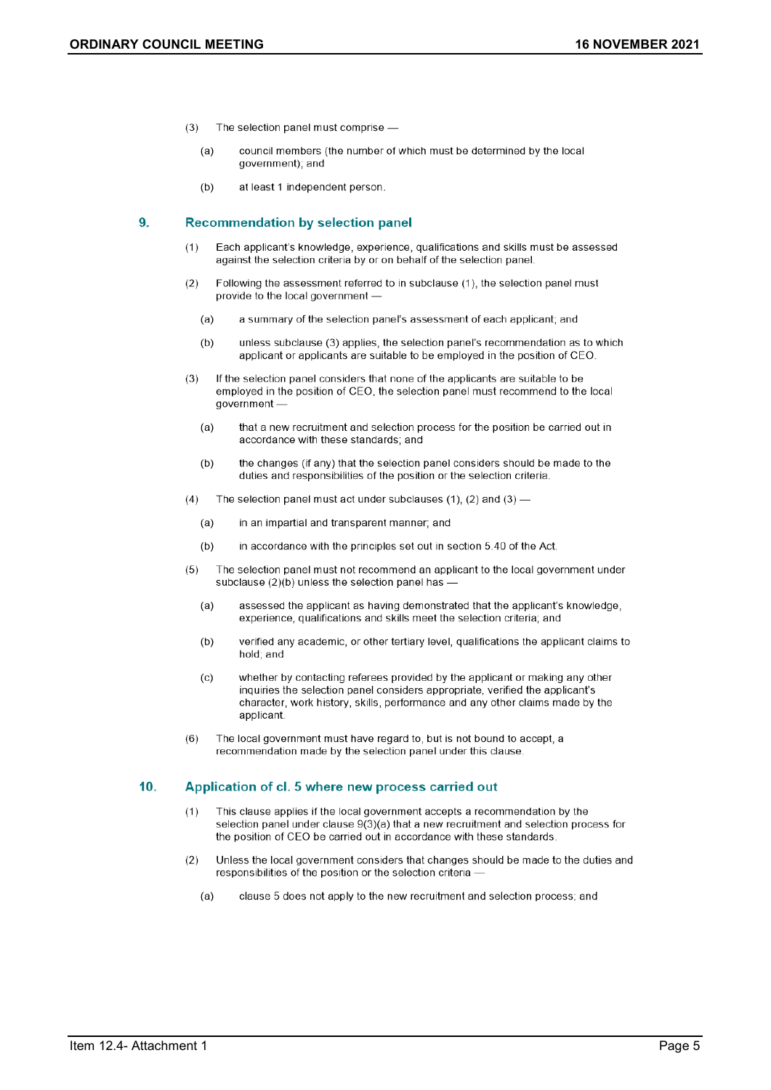- The selection panel must comprise - $(3)$ 
	- $(a)$ council members (the number of which must be determined by the local government); and
	- at least 1 independent person.  $(b)$

#### $9.$ **Recommendation by selection panel**

- $(1)$ Each applicant's knowledge, experience, qualifications and skills must be assessed against the selection criteria by or on behalf of the selection panel.
- $(2)$ Following the assessment referred to in subclause (1), the selection panel must provide to the local government -
	- $(a)$ a summary of the selection panel's assessment of each applicant; and
	- unless subclause (3) applies, the selection panel's recommendation as to which  $(b)$ applicant or applicants are suitable to be employed in the position of CEO.
- $(3)$ If the selection panel considers that none of the applicants are suitable to be employed in the position of CEO, the selection panel must recommend to the local government
	- that a new recruitment and selection process for the position be carried out in  $(a)$ accordance with these standards; and
	- the changes (if any) that the selection panel considers should be made to the  $(b)$ duties and responsibilities of the position or the selection criteria.
- $(4)$ The selection panel must act under subclauses (1), (2) and (3) -
	- $(a)$ in an impartial and transparent manner; and
	- in accordance with the principles set out in section 5.40 of the Act.  $(b)$
- $(5)$ The selection panel must not recommend an applicant to the local government under subclause (2)(b) unless the selection panel has
	- $(a)$ assessed the applicant as having demonstrated that the applicant's knowledge, experience, qualifications and skills meet the selection criteria; and
	- $(b)$ verified any academic, or other tertiary level, qualifications the applicant claims to hold; and
	- whether by contacting referees provided by the applicant or making any other  $(c)$ inquiries the selection panel considers appropriate, verified the applicant's character, work history, skills, performance and any other claims made by the applicant.
- The local government must have regard to, but is not bound to accept, a  $(6)$ recommendation made by the selection panel under this clause.

#### 10. Application of cl. 5 where new process carried out

- $(1)$ This clause applies if the local government accepts a recommendation by the selection panel under clause 9(3)(a) that a new recruitment and selection process for the position of CEO be carried out in accordance with these standards.
- $(2)$ Unless the local government considers that changes should be made to the duties and responsibilities of the position or the selection criteria -
	- $(a)$ clause 5 does not apply to the new recruitment and selection process; and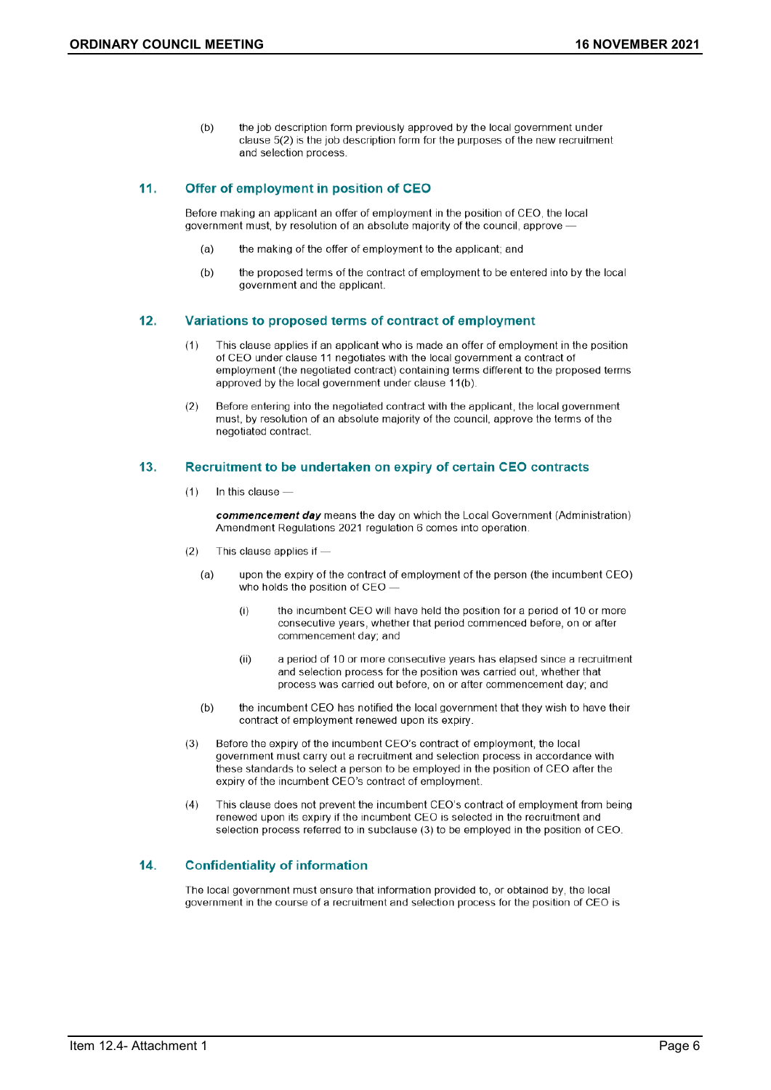the job description form previously approved by the local government under  $(b)$ clause 5(2) is the job description form for the purposes of the new recruitment and selection process.

#### $11.$ Offer of employment in position of CEO

Before making an applicant an offer of employment in the position of CEO, the local government must, by resolution of an absolute majority of the council, approve -

- the making of the offer of employment to the applicant; and  $(a)$
- the proposed terms of the contract of employment to be entered into by the local  $(b)$ government and the applicant.

#### $12.$ Variations to proposed terms of contract of employment

- $(1)$ This clause applies if an applicant who is made an offer of employment in the position of CEO under clause 11 negotiates with the local government a contract of employment (the negotiated contract) containing terms different to the proposed terms approved by the local government under clause 11(b).
- $(2)$ Before entering into the negotiated contract with the applicant, the local government must, by resolution of an absolute majority of the council, approve the terms of the negotiated contract.

#### $13.$ Recruitment to be undertaken on expiry of certain CEO contracts

In this clause - $(1)$ 

> commencement day means the day on which the Local Government (Administration) Amendment Regulations 2021 regulation 6 comes into operation.

- $(2)$ This clause applies if
	- upon the expiry of the contract of employment of the person (the incumbent CEO)  $(a)$ who holds the position of CEO -
		- $(i)$ the incumbent CEO will have held the position for a period of 10 or more consecutive years, whether that period commenced before, on or after commencement day; and
		- a period of 10 or more consecutive years has elapsed since a recruitment  $(ii)$ and selection process for the position was carried out, whether that process was carried out before, on or after commencement day; and
	- $(b)$ the incumbent CEO has notified the local government that they wish to have their contract of employment renewed upon its expiry.
- Before the expiry of the incumbent CEO's contract of employment, the local  $(3)$ government must carry out a recruitment and selection process in accordance with these standards to select a person to be employed in the position of CEO after the expiry of the incumbent CEO's contract of employment.
- This clause does not prevent the incumbent CEO's contract of employment from being  $(4)$ renewed upon its expiry if the incumbent CEO is selected in the recruitment and selection process referred to in subclause (3) to be employed in the position of CEO.

#### 14. **Confidentiality of information**

The local government must ensure that information provided to, or obtained by, the local government in the course of a recruitment and selection process for the position of CEO is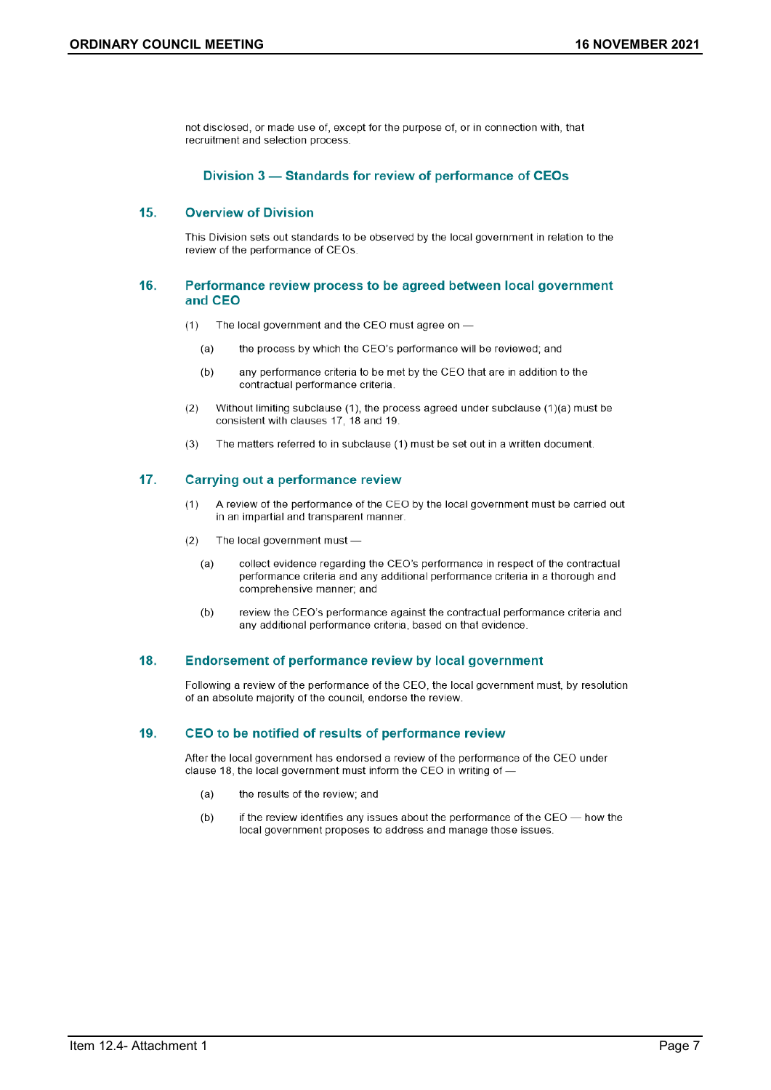not disclosed, or made use of, except for the purpose of, or in connection with, that recruitment and selection process.

## Division 3 - Standards for review of performance of CEOs

#### $15.$ **Overview of Division**

This Division sets out standards to be observed by the local government in relation to the review of the performance of CEOs.

## 16. Performance review process to be agreed between local government and CEO

- The local government and the CEO must agree on - $(1)$ 
	- $(a)$ the process by which the CEO's performance will be reviewed; and
	- any performance criteria to be met by the CEO that are in addition to the  $(b)$ contractual performance criteria
- Without limiting subclause (1), the process agreed under subclause (1)(a) must be  $(2)$ consistent with clauses 17, 18 and 19.
- The matters referred to in subclause (1) must be set out in a written document.  $(3)$

#### $17.$ **Carrying out a performance review**

- A review of the performance of the CEO by the local government must be carried out  $(1)$ in an impartial and transparent manner.
- $(2)$ The local government must
	- collect evidence regarding the CEO's performance in respect of the contractual  $(a)$ performance criteria and any additional performance criteria in a thorough and comprehensive manner; and
	- review the CEO's performance against the contractual performance criteria and  $(b)$ any additional performance criteria, based on that evidence.

#### 18. **Endorsement of performance review by local government**

Following a review of the performance of the CEO, the local government must, by resolution of an absolute majority of the council, endorse the review.

#### 19. CEO to be notified of results of performance review

After the local government has endorsed a review of the performance of the CEO under clause 18, the local government must inform the CEO in writing of -

- $(a)$ the results of the review; and
- if the review identifies any issues about the performance of the CEO how the  $(b)$ local government proposes to address and manage those issues.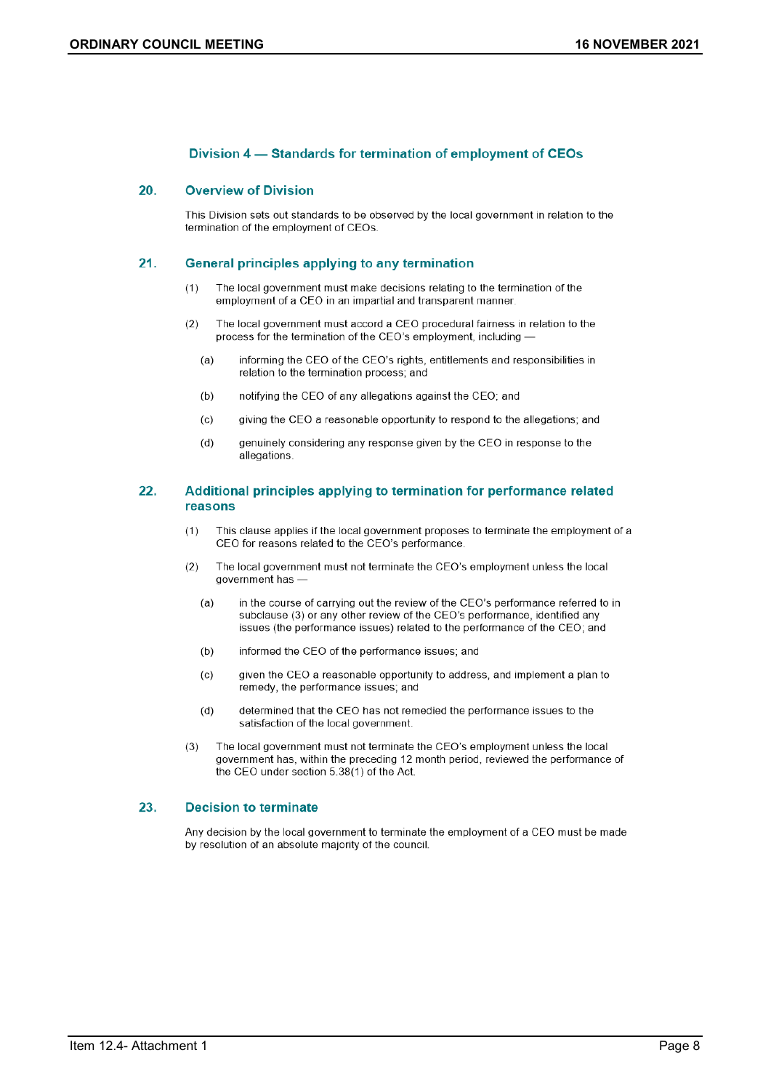## Division 4 – Standards for termination of employment of CEOs

#### 20. **Overview of Division**

This Division sets out standards to be observed by the local government in relation to the termination of the employment of CEOs.

#### $21.$ **General principles applying to any termination**

- $(1)$ The local government must make decisions relating to the termination of the employment of a CEO in an impartial and transparent manner.
- The local government must accord a CEO procedural fairness in relation to the  $(2)$ process for the termination of the CEO's employment, including
	- informing the CEO of the CEO's rights, entitlements and responsibilities in  $(a)$ relation to the termination process; and
	- notifying the CEO of any allegations against the CEO; and  $(b)$
	- giving the CEO a reasonable opportunity to respond to the allegations; and  $(c)$
	- genuinely considering any response given by the CEO in response to the  $(d)$ allegations.

## 22. Additional principles applying to termination for performance related reasons

- This clause applies if the local government proposes to terminate the employment of a  $(1)$ CEO for reasons related to the CEO's performance.
- $(2)$ The local government must not terminate the CEO's employment unless the local government has
	- in the course of carrying out the review of the CEO's performance referred to in  $(a)$ subclause (3) or any other review of the CEO's performance, identified any issues (the performance issues) related to the performance of the CEO; and
	- $(b)$ informed the CEO of the performance issues: and
	- $(c)$ given the CEO a reasonable opportunity to address, and implement a plan to remedy, the performance issues; and
	- determined that the CEO has not remedied the performance issues to the  $(d)$ satisfaction of the local government.
- The local government must not terminate the CEO's employment unless the local  $(3)$ government has, within the preceding 12 month period, reviewed the performance of the CEO under section 5.38(1) of the Act.

#### 23. **Decision to terminate**

Any decision by the local government to terminate the employment of a CEO must be made by resolution of an absolute majority of the council.